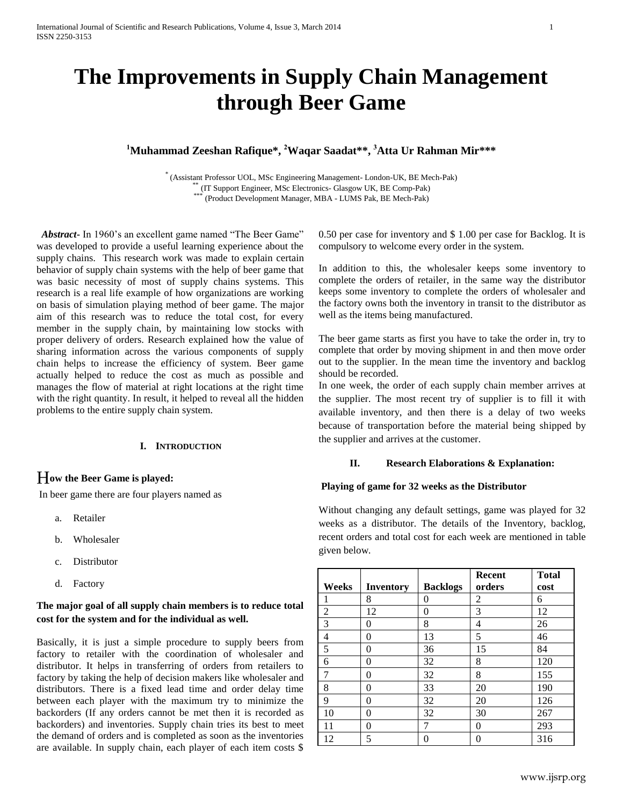# **The Improvements in Supply Chain Management through Beer Game**

# **<sup>1</sup>Muhammad Zeeshan Rafique\*, <sup>2</sup>Waqar Saadat\*\*, <sup>3</sup>Atta Ur Rahman Mir\*\*\***

\* (Assistant Professor UOL, MSc Engineering Management- London-UK, BE Mech-Pak) \*\* (IT Support Engineer, MSc Electronics- Glasgow UK, BE Comp-Pak)<br>\*\*\* (Product Davelopment Manager, MBA - LUMS Pak, BE Mosh Pak) (Product Development Manager, MBA - LUMS Pak, BE Mech-Pak)

 *Abstract***-** In 1960's an excellent game named "The Beer Game" was developed to provide a useful learning experience about the supply chains. This research work was made to explain certain behavior of supply chain systems with the help of beer game that was basic necessity of most of supply chains systems. This research is a real life example of how organizations are working on basis of simulation playing method of beer game. The major aim of this research was to reduce the total cost, for every member in the supply chain, by maintaining low stocks with proper delivery of orders. Research explained how the value of sharing information across the various components of supply chain helps to increase the efficiency of system. Beer game actually helped to reduce the cost as much as possible and manages the flow of material at right locations at the right time with the right quantity. In result, it helped to reveal all the hidden problems to the entire supply chain system.

#### **I. INTRODUCTION**

## H**ow the Beer Game is played:**

In beer game there are four players named as

- a. Retailer
- b. Wholesaler
- c. Distributor
- d. Factory

# **The major goal of all supply chain members is to reduce total cost for the system and for the individual as well.**

Basically, it is just a simple procedure to supply beers from factory to retailer with the coordination of wholesaler and distributor. It helps in transferring of orders from retailers to factory by taking the help of decision makers like wholesaler and distributors. There is a fixed lead time and order delay time between each player with the maximum try to minimize the backorders (If any orders cannot be met then it is recorded as backorders) and inventories. Supply chain tries its best to meet the demand of orders and is completed as soon as the inventories are available. In supply chain, each player of each item costs \$

0.50 per case for inventory and \$ 1.00 per case for Backlog. It is compulsory to welcome every order in the system.

In addition to this, the wholesaler keeps some inventory to complete the orders of retailer, in the same way the distributor keeps some inventory to complete the orders of wholesaler and the factory owns both the inventory in transit to the distributor as well as the items being manufactured.

The beer game starts as first you have to take the order in, try to complete that order by moving shipment in and then move order out to the supplier. In the mean time the inventory and backlog should be recorded.

In one week, the order of each supply chain member arrives at the supplier. The most recent try of supplier is to fill it with available inventory, and then there is a delay of two weeks because of transportation before the material being shipped by the supplier and arrives at the customer.

#### **II. Research Elaborations & Explanation:**

#### **Playing of game for 32 weeks as the Distributor**

Without changing any default settings, game was played for 32 weeks as a distributor. The details of the Inventory, backlog, recent orders and total cost for each week are mentioned in table given below.

|       |                  |                 | <b>Recent</b> | <b>Total</b> |
|-------|------------------|-----------------|---------------|--------------|
| Weeks | <b>Inventory</b> | <b>Backlogs</b> | orders        | cost         |
|       | 8                | 0               | 2             | 6            |
| 2     | 12               | 0               | 3             | 12           |
| 3     | $\Omega$         | 8               | 4             | 26           |
| 4     | 0                | 13              | 5             | 46           |
| 5     | 0                | 36              | 15            | 84           |
| 6     | 0                | 32              | 8             | 120          |
| 7     | 0                | 32              | 8             | 155          |
| 8     | 0                | 33              | 20            | 190          |
| 9     | 0                | 32              | 20            | 126          |
| 10    | 0                | 32              | 30            | 267          |
| 11    | 0                |                 | 0             | 293          |
| 12    | 5                | 0               | 0             | 316          |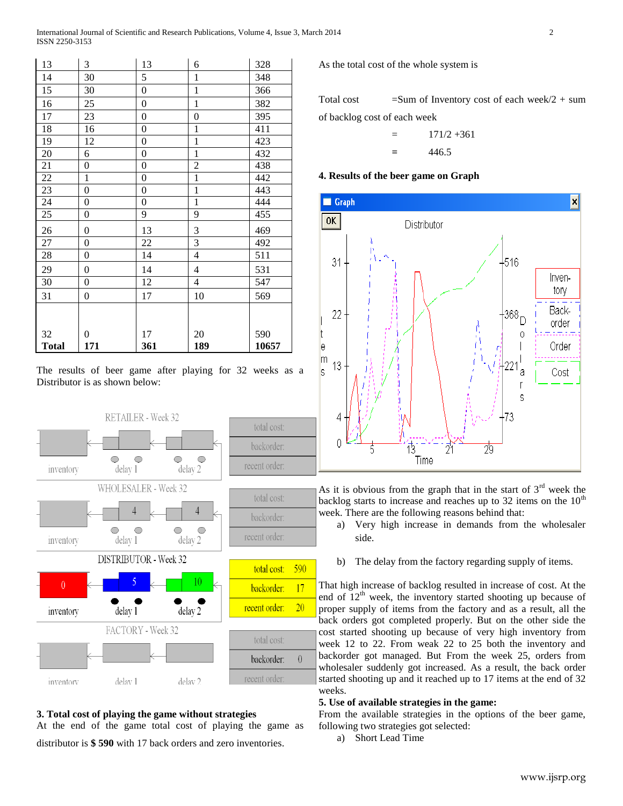| 13           | 3                | 13               | 6                | 328   |
|--------------|------------------|------------------|------------------|-------|
| 14           | 30               | 5                | $\mathbf{1}$     | 348   |
| 15           | 30               | $\boldsymbol{0}$ | $\mathbf{1}$     | 366   |
| 16           | 25               | $\boldsymbol{0}$ | $\mathbf{1}$     | 382   |
| 17           | 23               | $\boldsymbol{0}$ | $\boldsymbol{0}$ | 395   |
| 18           | 16               | $\boldsymbol{0}$ | $\mathbf{1}$     | 411   |
| 19           | 12               | $\boldsymbol{0}$ | $\overline{1}$   | 423   |
| 20           | 6                | $\boldsymbol{0}$ | $\overline{1}$   | 432   |
| 21           | $\boldsymbol{0}$ | $\boldsymbol{0}$ | $\overline{c}$   | 438   |
| 22           | $\mathbf{1}$     | $\boldsymbol{0}$ | $\overline{1}$   | 442   |
| 23           | $\boldsymbol{0}$ | 0                | $\overline{1}$   | 443   |
| 24           | $\boldsymbol{0}$ | 0                | $\mathbf{1}$     | 444   |
| 25           | $\boldsymbol{0}$ | 9                | 9                | 455   |
| 26           | $\boldsymbol{0}$ | 13               | $\sqrt{3}$       | 469   |
| 27           | $\boldsymbol{0}$ | 22               | 3                | 492   |
| 28           | $\boldsymbol{0}$ | 14               | $\overline{4}$   | 511   |
| 29           | $\boldsymbol{0}$ | 14               | 4                | 531   |
| 30           | $\boldsymbol{0}$ | 12               | $\overline{4}$   | 547   |
| 31           | $\boldsymbol{0}$ | 17               | 10               | 569   |
|              |                  |                  |                  |       |
|              |                  |                  |                  |       |
| 32           | $\boldsymbol{0}$ | 17               | 20               | 590   |
| <b>Total</b> | 171              | 361              | 189              | 10657 |

The results of beer game after playing for 32 weeks as a Distributor is as shown below:



# **3. Total cost of playing the game without strategies**

At the end of the game total cost of playing the game as distributor is **\$ 590** with 17 back orders and zero inventories.

As the total cost of the whole system is

Total cost  $=$  Sum of Inventory cost of each week/2 + sum

of backlog cost of each week

$$
= 171/2 + 361
$$
  
= 446.5

#### **4. Results of the beer game on Graph**



As it is obvious from the graph that in the start of  $3<sup>rd</sup>$  week the backlog starts to increase and reaches up to 32 items on the  $10<sup>th</sup>$ week. There are the following reasons behind that:

- a) Very high increase in demands from the wholesaler side.
- b) The delay from the factory regarding supply of items.

That high increase of backlog resulted in increase of cost. At the end of  $12<sup>th</sup>$  week, the inventory started shooting up because of proper supply of items from the factory and as a result, all the back orders got completed properly. But on the other side the cost started shooting up because of very high inventory from week 12 to 22. From weak 22 to 25 both the inventory and backorder got managed. But From the week 25, orders from wholesaler suddenly got increased. As a result, the back order started shooting up and it reached up to 17 items at the end of 32 weeks.

# **5. Use of available strategies in the game:**

From the available strategies in the options of the beer game, following two strategies got selected:

a) Short Lead Time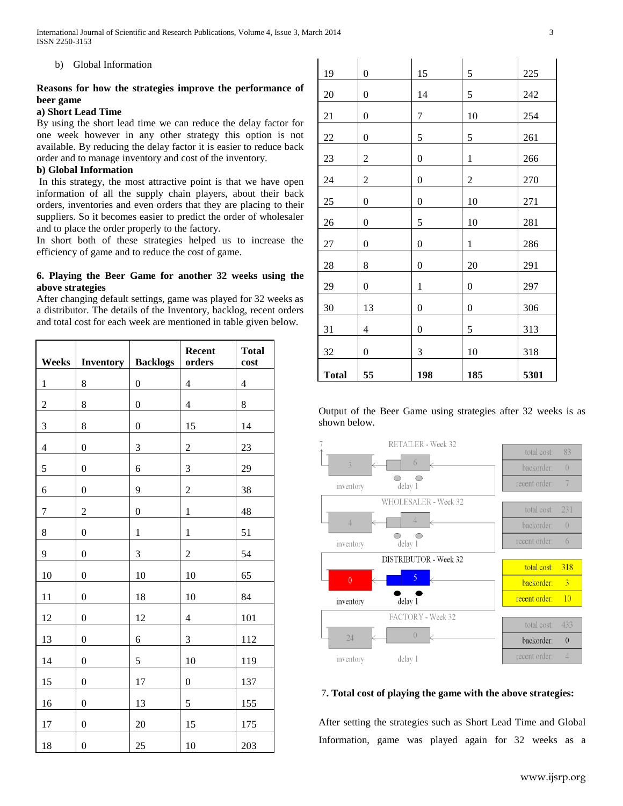b) Global Information

# **Reasons for how the strategies improve the performance of beer game**

#### **a) Short Lead Time**

By using the short lead time we can reduce the delay factor for one week however in any other strategy this option is not available. By reducing the delay factor it is easier to reduce back order and to manage inventory and cost of the inventory.

# **b) Global Information**

In this strategy, the most attractive point is that we have open information of all the supply chain players, about their back orders, inventories and even orders that they are placing to their suppliers. So it becomes easier to predict the order of wholesaler and to place the order properly to the factory.

In short both of these strategies helped us to increase the efficiency of game and to reduce the cost of game.

# **6. Playing the Beer Game for another 32 weeks using the above strategies**

After changing default settings, game was played for 32 weeks as a distributor. The details of the Inventory, backlog, recent orders and total cost for each week are mentioned in table given below.

| Weeks                   | <b>Inventory   Backlogs</b> |                  | Recent<br>orders | <b>Total</b><br>cost    |
|-------------------------|-----------------------------|------------------|------------------|-------------------------|
| $\,1$                   | $\,8\,$                     | $\boldsymbol{0}$ | $\overline{4}$   | $\overline{\mathbf{4}}$ |
| $\overline{2}$          | 8                           | $\boldsymbol{0}$ | $\overline{4}$   | 8                       |
| 3                       | 8                           | $\boldsymbol{0}$ | 15               | 14                      |
| $\overline{\mathbf{4}}$ | $\boldsymbol{0}$            | 3                | $\overline{c}$   | 23                      |
| 5                       | $\mathbf{0}$                | 6                | 3                | 29                      |
| 6                       | $\boldsymbol{0}$            | 9                | $\overline{2}$   | 38                      |
| $\overline{7}$          | $\overline{c}$              | $\boldsymbol{0}$ | $\mathbf 1$      | 48                      |
| 8                       | $\boldsymbol{0}$            | $\mathbf{1}$     | $\mathbf 1$      | 51                      |
| 9                       | $\overline{0}$              | 3                | $\overline{c}$   | 54                      |
| 10                      | $\overline{0}$              | 10               | 10               | 65                      |
| 11                      | $\boldsymbol{0}$            | 18               | 10               | 84                      |
| 12                      | $\boldsymbol{0}$            | 12               | $\overline{4}$   | 101                     |
| 13                      | $\boldsymbol{0}$            | 6                | 3                | 112                     |
| 14                      | $\boldsymbol{0}$            | 5                | 10               | 119                     |
| 15                      | $\boldsymbol{0}$            | 17               | $\boldsymbol{0}$ | 137                     |
| 16                      | $\overline{0}$              | 13               | 5                | 155                     |
| 17                      | $\boldsymbol{0}$            | 20               | 15               | 175                     |
| 18                      | $\boldsymbol{0}$            | 25               | 10               | 203                     |

| 19           | $\boldsymbol{0}$ | 15               | 5                | 225  |
|--------------|------------------|------------------|------------------|------|
| 20           | $\boldsymbol{0}$ | 14               | 5                | 242  |
| 21           | $\boldsymbol{0}$ | $\sqrt{ }$       | 10               | 254  |
| 22           | $\boldsymbol{0}$ | 5                | 5                | 261  |
| 23           | $\sqrt{2}$       | $\boldsymbol{0}$ | $\mathbf{1}$     | 266  |
| 24           | $\sqrt{2}$       | $\boldsymbol{0}$ | $\overline{c}$   | 270  |
| 25           | $\boldsymbol{0}$ | $\boldsymbol{0}$ | 10               | 271  |
| 26           | $\boldsymbol{0}$ | 5                | 10               | 281  |
| $27\,$       | $\boldsymbol{0}$ | 0                | $\,1$            | 286  |
| 28           | 8                | $\boldsymbol{0}$ | 20               | 291  |
| 29           | $\boldsymbol{0}$ | $\mathbf{1}$     | $\boldsymbol{0}$ | 297  |
| 30           | 13               | $\boldsymbol{0}$ | $\boldsymbol{0}$ | 306  |
| 31           | 4                | $\boldsymbol{0}$ | 5                | 313  |
| $32\,$       | $\boldsymbol{0}$ | 3                | 10               | 318  |
| <b>Total</b> | 55               | 198              | 185              | 5301 |

Output of the Beer Game using strategies after 32 weeks is as shown below.



## 7**. Total cost of playing the game with the above strategies:**

After setting the strategies such as Short Lead Time and Global Information, game was played again for 32 weeks as a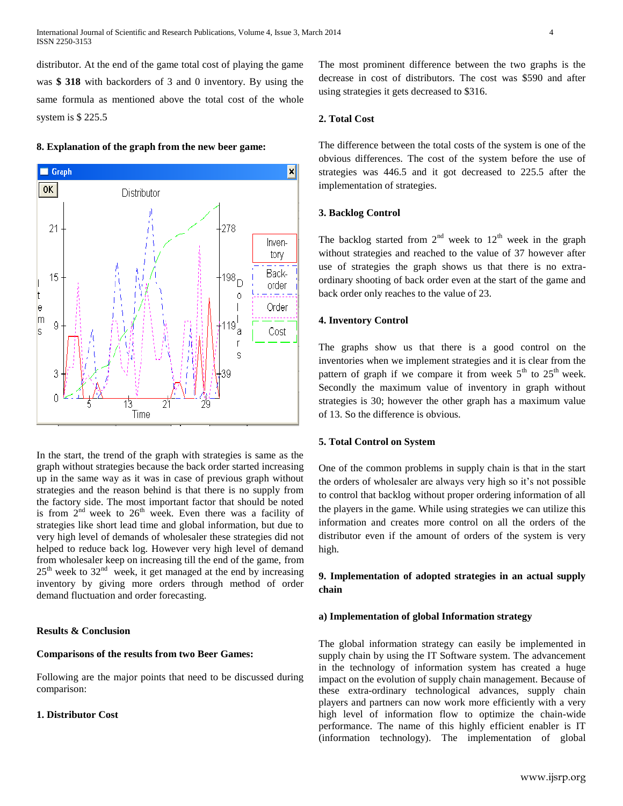distributor. At the end of the game total cost of playing the game was **\$ 318** with backorders of 3 and 0 inventory. By using the same formula as mentioned above the total cost of the whole system is \$ 225.5





In the start, the trend of the graph with strategies is same as the graph without strategies because the back order started increasing up in the same way as it was in case of previous graph without strategies and the reason behind is that there is no supply from the factory side. The most important factor that should be noted is from  $2^{nd}$  week to  $26^{th}$  week. Even there was a facility of strategies like short lead time and global information, but due to very high level of demands of wholesaler these strategies did not helped to reduce back log. However very high level of demand from wholesaler keep on increasing till the end of the game, from  $25<sup>th</sup>$  week to  $32<sup>nd</sup>$  week, it get managed at the end by increasing inventory by giving more orders through method of order demand fluctuation and order forecasting.

#### **Results & Conclusion**

#### **Comparisons of the results from two Beer Games:**

Following are the major points that need to be discussed during comparison:

#### **1. Distributor Cost**

The most prominent difference between the two graphs is the decrease in cost of distributors. The cost was \$590 and after using strategies it gets decreased to \$316.

## **2. Total Cost**

The difference between the total costs of the system is one of the obvious differences. The cost of the system before the use of strategies was 446.5 and it got decreased to 225.5 after the implementation of strategies.

#### **3. Backlog Control**

The backlog started from  $2<sup>nd</sup>$  week to  $12<sup>th</sup>$  week in the graph without strategies and reached to the value of 37 however after use of strategies the graph shows us that there is no extraordinary shooting of back order even at the start of the game and back order only reaches to the value of 23.

#### **4. Inventory Control**

The graphs show us that there is a good control on the inventories when we implement strategies and it is clear from the pattern of graph if we compare it from week  $5<sup>th</sup>$  to  $25<sup>th</sup>$  week. Secondly the maximum value of inventory in graph without strategies is 30; however the other graph has a maximum value of 13. So the difference is obvious.

#### **5. Total Control on System**

One of the common problems in supply chain is that in the start the orders of wholesaler are always very high so it's not possible to control that backlog without proper ordering information of all the players in the game. While using strategies we can utilize this information and creates more control on all the orders of the distributor even if the amount of orders of the system is very high.

# **9. Implementation of adopted strategies in an actual supply chain**

#### **a) Implementation of global Information strategy**

The global information strategy can easily be implemented in supply chain by using the IT Software system. The advancement in the technology of information system has created a huge impact on the evolution of supply chain management. Because of these extra-ordinary technological advances, supply chain players and partners can now work more efficiently with a very high level of information flow to optimize the chain-wide performance. The name of this highly efficient enabler is IT (information technology). The implementation of global